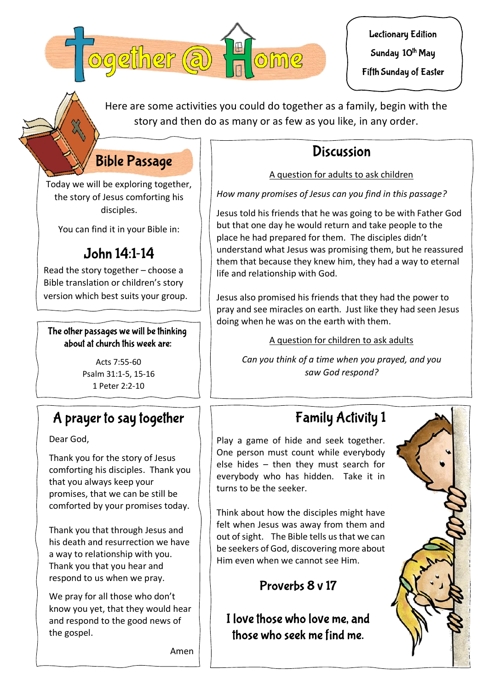

**Lectionary Edition** 

Sunday 10<sup>th</sup> May

Fifth Sunday of Easter

Here are some activities you could do together as a family, begin with the story and then do as many or as few as you like, in any order.

# Discussion

A question for adults to ask children

*How many promises of Jesus can you find in this passage?*

Jesus told his friends that he was going to be with Father God but that one day he would return and take people to the place he had prepared for them. The disciples didn't understand what Jesus was promising them, but he reassured them that because they knew him, they had a way to eternal life and relationship with God.

Jesus also promised his friends that they had the power to pray and see miracles on earth. Just like they had seen Jesus doing when he was on the earth with them.

A question for children to ask adults

*Can you think of a time when you prayed, and you saw God respond?*

# **Family Activity 1**

Play a game of hide and seek together. One person must count while everybody else hides – then they must search for everybody who has hidden. Take it in turns to be the seeker.

Think about how the disciples might have felt when Jesus was away from them and out of sight. The Bible tells us that we can be seekers of God, discovering more about Him even when we cannot see Him.

## Proverbs 8 v 17

I love those who love me, and those who seek me find me.



**Bible Passage** Today we will be exploring together, the story of Jesus comforting his

You can find it in your Bible in:

disciples.

# John 14:1-14

Read the story together – choose a Bible translation or children's story version which best suits your group.

### The other passages we will be thinking about at church this week are:

Acts 7:55‐60 Psalm 31:1‐5, 15‐16 1 Peter 2:2‐10

# A prayer to say together

Dear God,

Thank you for the story of Jesus comforting his disciples. Thank you that you always keep your promises, that we can be still be comforted by your promises today.

Thank you that through Jesus and his death and resurrection we have a way to relationship with you. Thank you that you hear and respond to us when we pray.

We pray for all those who don't know you yet, that they would hear and respond to the good news of the gospel.

Amen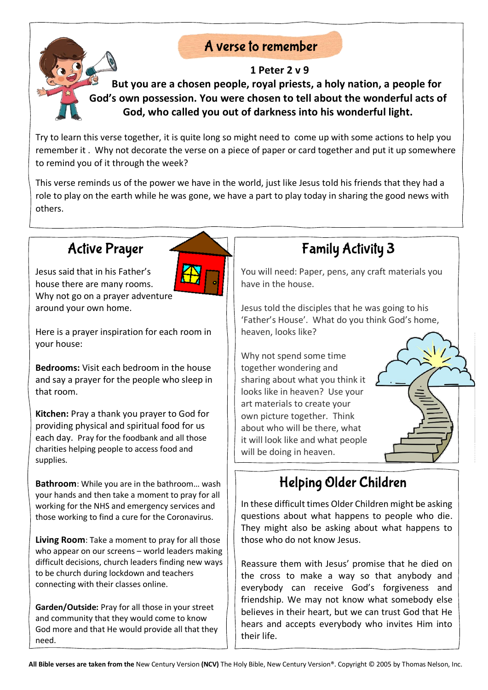## A verse to remember

### **1 Peter 2 v 9**

**But you are a chosen people, royal priests, a holy nation, a people for God's own possession. You were chosen to tell about the wonderful acts of God, who called you out of darkness into his wonderful light.**

Try to learn this verse together, it is quite long so might need to come up with some actions to help you remember it . Why not decorate the verse on a piece of paper or card together and put it up somewhere to remind you of it through the week?

This verse reminds us of the power we have in the world, just like Jesus told his friends that they had a role to play on the earth while he was gone, we have a part to play today in sharing the good news with others.

# **Active Prayer**

Jesus said that in his Father's house there are many rooms. Why not go on a prayer adventure around your own home.

Here is a prayer inspiration for each room in your house:

**Bedrooms:** Visit each bedroom in the house and say a prayer for the people who sleep in that room.

**Kitchen:** Pray a thank you prayer to God for providing physical and spiritual food for us each day.Pray for the foodbank and all those charities helping people to access food and supplies.

**Bathroom**: While you are in the bathroom… wash your hands and then take a moment to pray for all working for the NHS and emergency services and those working to find a cure for the Coronavirus.

**Living Room**: Take a moment to pray for all those who appear on our screens – world leaders making difficult decisions, church leaders finding new ways to be church during lockdown and teachers connecting with their classes online.

**Garden/Outside:** Pray for all those in your street and community that they would come to know God more and that He would provide all that they need.

# **Family Activity 3**

You will need: Paper, pens, any craft materials you have in the house.

Jesus told the disciples that he was going to his 'Father's House'. What do you think God's home, heaven, looks like?

Why not spend some time together wondering and sharing about what you think it looks like in heaven? Use your art materials to create your own picture together. Think about who will be there, what it will look like and what people will be doing in heaven.

# Helping Older Children

In these difficult times Older Children might be asking questions about what happens to people who die. They might also be asking about what happens to those who do not know Jesus.

Reassure them with Jesus' promise that he died on the cross to make a way so that anybody and everybody can receive God's forgiveness and friendship. We may not know what somebody else believes in their heart, but we can trust God that He hears and accepts everybody who invites Him into their life.



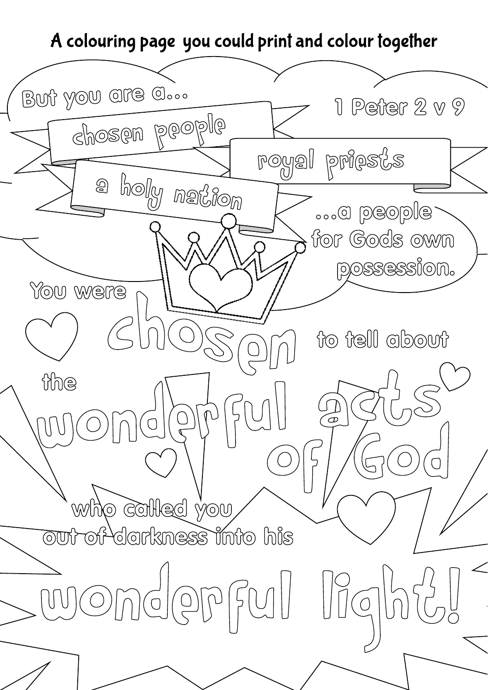# A colouring page you could print and colour together